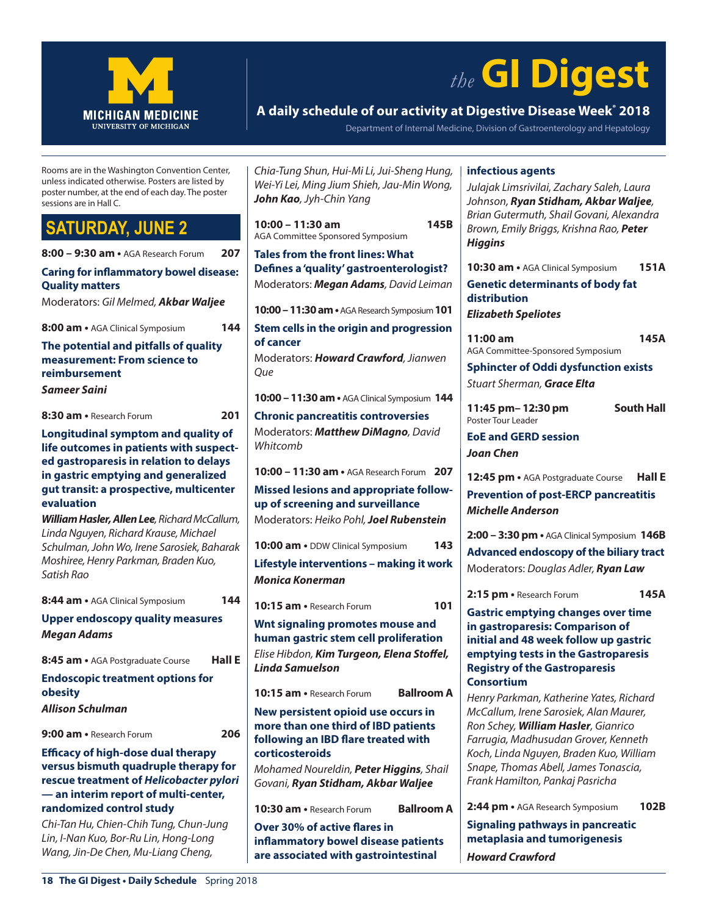

# *the* **GI Digest**

### **A daily schedule of our activity at Digestive Disease Week® 2018**

Department of Internal Medicine, Division of Gastroenterology and Hepatology

Rooms are in the Washington Convention Center, unless indicated otherwise. Posters are listed by poster number, at the end of each day. The poster sessions are in Hall C.

# **TURDAY, JUNE 2**

| 8:00 - 9:30 am . AGA Research Forum                                                                                                                                                                                      | 207    |
|--------------------------------------------------------------------------------------------------------------------------------------------------------------------------------------------------------------------------|--------|
| <b>Caring for inflammatory bowel disease:</b><br><b>Quality matters</b>                                                                                                                                                  |        |
| Moderators: Gil Melmed, Akbar Waljee                                                                                                                                                                                     |        |
| 8:00 am • AGA Clinical Symposium                                                                                                                                                                                         | 144    |
| The potential and pitfalls of quality<br>measurement: From science to<br>reimbursement                                                                                                                                   |        |
| Sameer Saini                                                                                                                                                                                                             |        |
| 8:30 am • Research Forum                                                                                                                                                                                                 | 201    |
| Longitudinal symptom and quality of<br>life outcomes in patients with suspect-<br>ed gastroparesis in relation to delays<br>in gastric emptying and generalized<br>gut transit: a prospective, multicenter<br>evaluation |        |
| William Hasler, Allen Lee, Richard McCallum,<br>Linda Nguyen, Richard Krause, Michael<br>Schulman, John Wo, Irene Sarosiek, Baharak<br>Moshiree, Henry Parkman, Braden Kuo,<br>Satish Rao                                |        |
| 8:44 am • AGA Clinical Symposium                                                                                                                                                                                         | 144    |
| <b>Upper endoscopy quality measures</b><br><b>Megan Adams</b>                                                                                                                                                            |        |
| 8:45 am • AGA Postgraduate Course                                                                                                                                                                                        | Hall E |
| <b>Endoscopic treatment options for</b><br>obesity                                                                                                                                                                       |        |
| Allison Schulman                                                                                                                                                                                                         |        |
| 9:00 am • Research Forum                                                                                                                                                                                                 | 206    |
| <b>Efficacy of high-dose dual therapy</b><br>versus bismuth quadruple therapy for<br>rescue treatment of Helicobacter pylori<br>- an interim report of multi-center,<br>randomized control study                         |        |
| Chi-Tan Hu, Chien-Chih Tung, Chun-Jung                                                                                                                                                                                   |        |

*Lin, I-Nan Kuo, Bor-Ru Lin, Hong-Long Wang, Jin-De Chen, Mu-Liang Cheng,* 

*Chia-Tung Shun, Hui-Mi Li, Jui-Sheng Hung, Wei-Yi Lei, Ming Jium Shieh, Jau-Min Wong, John Kao, Jyh-Chin Yang*

**10:00 – 11:30 am 145B** AGA Committee Sponsored Symposium

**Tales from the front lines: What Defines a 'quality' gastroenterologist?** Moderators: *Megan Adams, David Leiman*

**10:00 – 11:30 am •** AGA Research Symposium**101**

**Stem cells in the origin and progression of cancer** Moderators: *Howard Crawford, Jianwen Que*

**10:00 – 11:30 am •** AGA Clinical Symposium **144**

**Chronic pancreatitis controversies** Moderators: *Matthew DiMagno, David Whitcomb*

**10:00 – 11:30 am •** AGA Research Forum **207**

**Missed lesions and appropriate followup of screening and surveillance** Moderators: *Heiko Pohl, Joel Rubenstein*

**10:00 am •** DDW Clinical Symposium **143**

**Lifestyle interventions – making it work** *Monica Konerman*

**10:15 am •** Research Forum **101**

**Wnt signaling promotes mouse and human gastric stem cell proliferation** *Elise Hibdon, Kim Turgeon, Elena Stoffel, Linda Samuelson*

**10:15 am •** Research Forum **Ballroom A**

**New persistent opioid use occurs in more than one third of IBD patients following an IBD flare treated with corticosteroids**

*Mohamed Noureldin, Peter Higgins, Shail Govani, Ryan Stidham, Akbar Waljee*

**10:30 am •** Research Forum **Ballroom A**

**Over 30% of active flares in inflammatory bowel disease patients are associated with gastrointestinal** 

#### **infectious agents**

*Julajak Limsrivilai, Zachary Saleh, Laura Johnson, Ryan Stidham, Akbar Waljee, Brian Gutermuth, Shail Govani, Alexandra Brown, Emily Briggs, Krishna Rao, Peter Higgins*

**10:30 am •** AGA Clinical Symposium **151A Genetic determinants of body fat distribution** *Elizabeth Speliotes*

**11:00 am 145A** AGA Committee-Sponsored Symposium

**Sphincter of Oddi dysfunction exists** *Stuart Sherman, Grace Elta*

**11:45 pm– 12:30 pm South Hall** Poster Tour Leader

**EoE and GERD session** *Joan Chen*

**12:45 pm •** AGA Postgraduate Course **Hall E Prevention of post-ERCP pancreatitis** *Michelle Anderson*

**2:00 – 3:30 pm •** AGA Clinical Symposium **146B Advanced endoscopy of the biliary tract** Moderators: *Douglas Adler, Ryan Law*

**2:15 pm •** Research Forum **145A**

**Gastric emptying changes over time in gastroparesis: Comparison of initial and 48 week follow up gastric emptying tests in the Gastroparesis Registry of the Gastroparesis Consortium**

*Henry Parkman, Katherine Yates, Richard McCallum, Irene Sarosiek, Alan Maurer, Ron Schey, William Hasler, Gianrico Farrugia, Madhusudan Grover, Kenneth Koch, Linda Nguyen, Braden Kuo, William Snape, Thomas Abell, James Tonascia, Frank Hamilton, Pankaj Pasricha*

**2:44 pm •** AGA Research Symposium **102B**

**Signaling pathways in pancreatic metaplasia and tumorigenesis** *Howard Crawford*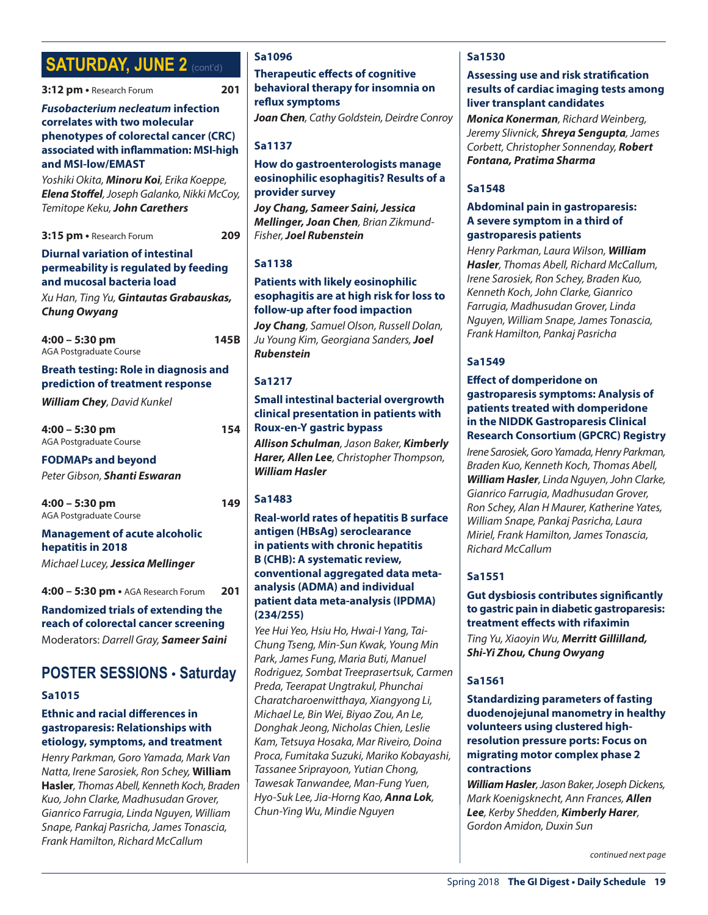# **SATURDAY, JUNE 2 (cont'd)**

#### **3:12 pm •** Research Forum **201**

#### *Fusobacterium necleatum* **infection correlates with two molecular phenotypes of colorectal cancer (CRC) associated with inflammation: MSI-high and MSI-low/EMAST**

*Yoshiki Okita, Minoru Koi, Erika Koeppe, Elena Stoffel, Joseph Galanko, Nikki McCoy, Temitope Keku, John Carethers*

**3:15 pm •** Research Forum **209**

#### **Diurnal variation of intestinal permeability is regulated by feeding and mucosal bacteria load**

*Xu Han, Ting Yu, Gintautas Grabauskas, Chung Owyang*

**4:00 – 5:30 pm 145B** AGA Postgraduate Course

#### **Breath testing: Role in diagnosis and prediction of treatment response**

*William Chey, David Kunkel*

**4:00 – 5:30 pm 154** AGA Postgraduate Course

#### **FODMAPs and beyond**

*Peter Gibson, Shanti Eswaran*

**4:00 – 5:30 pm 149** AGA Postgraduate Course

#### **Management of acute alcoholic hepatitis in 2018**

*Michael Lucey, Jessica Mellinger*

**4:00 – 5:30 pm •** AGA Research Forum **201**

**Randomized trials of extending the reach of colorectal cancer screening** Moderators: *Darrell Gray, Sameer Saini*

### **POSTER SESSIONS** • **Saturday**

#### **Sa1015**

#### **Ethnic and racial differences in gastroparesis: Relationships with etiology, symptoms, and treatment**

*Henry Parkman, Goro Yamada, Mark Van Natta, Irene Sarosiek, Ron Schey,* **William Hasler***, Thomas Abell, Kenneth Koch, Braden Kuo, John Clarke, Madhusudan Grover, Gianrico Farrugia, Linda Nguyen, William Snape, Pankaj Pasricha, James Tonascia, Frank Hamilton, Richard McCallum*

### **Sa1096**

#### **Therapeutic effects of cognitive behavioral therapy for insomnia on reflux symptoms**

*Joan Chen, Cathy Goldstein, Deirdre Conroy*

**Sa1137**

#### **How do gastroenterologists manage eosinophilic esophagitis? Results of a provider survey**

*Joy Chang, Sameer Saini, Jessica Mellinger, Joan Chen, Brian Zikmund-Fisher, Joel Rubenstein*

#### **Sa1138**

#### **Patients with likely eosinophilic esophagitis are at high risk for loss to follow-up after food impaction**

*Joy Chang, Samuel Olson, Russell Dolan, Ju Young Kim, Georgiana Sanders, Joel Rubenstein*

#### **Sa1217**

#### **Small intestinal bacterial overgrowth clinical presentation in patients with Roux-en-Y gastric bypass**

*Allison Schulman, Jason Baker, Kimberly Harer, Allen Lee, Christopher Thompson, William Hasler*

#### **Sa1483**

#### **Real-world rates of hepatitis B surface antigen (HBsAg) seroclearance in patients with chronic hepatitis B (CHB): A systematic review, conventional aggregated data metaanalysis (ADMA) and individual patient data meta-analysis (IPDMA) (234/255)**

*Yee Hui Yeo, Hsiu Ho, Hwai-I Yang, Tai-Chung Tseng, Min-Sun Kwak, Young Min Park, James Fung, Maria Buti, Manuel Rodriguez, Sombat Treeprasertsuk, Carmen Preda, Teerapat Ungtrakul, Phunchai Charatcharoenwitthaya, Xiangyong Li, Michael Le, Bin Wei, Biyao Zou, An Le, Donghak Jeong, Nicholas Chien, Leslie Kam, Tetsuya Hosaka, Mar Riveiro, Doina Proca, Fumitaka Suzuki, Mariko Kobayashi, Tassanee Sriprayoon, Yutian Chong, Tawesak Tanwandee, Man-Fung Yuen, Hyo-Suk Lee, Jia-Horng Kao, Anna Lok, Chun-Ying Wu, Mindie Nguyen*

#### **Sa1530**

#### **Assessing use and risk stratification results of cardiac imaging tests among liver transplant candidates**

*Monica Konerman, Richard Weinberg, Jeremy Slivnick, Shreya Sengupta, James Corbett, Christopher Sonnenday, Robert Fontana, Pratima Sharma*

#### **Sa1548**

#### **Abdominal pain in gastroparesis: A severe symptom in a third of gastroparesis patients**

*Henry Parkman, Laura Wilson, William Hasler, Thomas Abell, Richard McCallum, Irene Sarosiek, Ron Schey, Braden Kuo, Kenneth Koch, John Clarke, Gianrico Farrugia, Madhusudan Grover, Linda Nguyen, William Snape, James Tonascia, Frank Hamilton, Pankaj Pasricha*

#### **Sa1549**

#### **Effect of domperidone on gastroparesis symptoms: Analysis of patients treated with domperidone in the NIDDK Gastroparesis Clinical Research Consortium (GPCRC) Registry**

*Irene Sarosiek, Goro Yamada, Henry Parkman, Braden Kuo, Kenneth Koch, Thomas Abell, William Hasler, Linda Nguyen, John Clarke, Gianrico Farrugia, Madhusudan Grover, Ron Schey, Alan H Maurer, Katherine Yates, William Snape, Pankaj Pasricha, Laura Miriel, Frank Hamilton, James Tonascia, Richard McCallum*

#### **Sa1551**

#### **Gut dysbiosis contributes significantly to gastric pain in diabetic gastroparesis: treatment effects with rifaximin**

*Ting Yu, Xiaoyin Wu, Merritt Gillilland, Shi-Yi Zhou, Chung Owyang*

#### **Sa1561**

**Standardizing parameters of fasting duodenojejunal manometry in healthy volunteers using clustered highresolution pressure ports: Focus on migrating motor complex phase 2 contractions**

*William Hasler, Jason Baker, Joseph Dickens, Mark Koenigsknecht, Ann Frances, Allen Lee, Kerby Shedden, Kimberly Harer, Gordon Amidon, Duxin Sun*

*continued next page*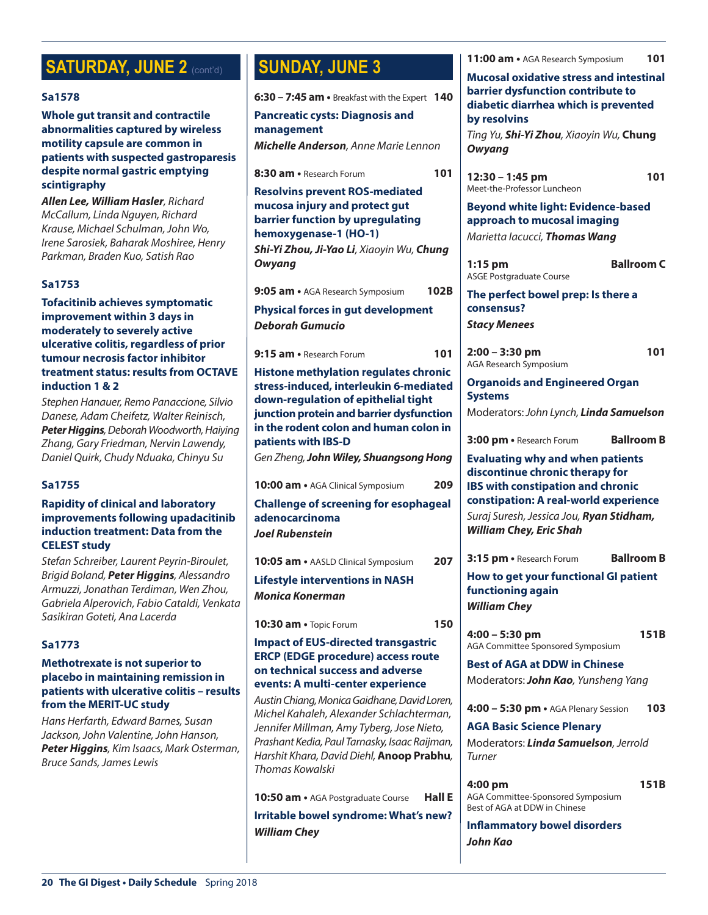# **SATURDAY, JUNE 2 (cont'd)**

#### **Sa1578**

**Whole gut transit and contractile abnormalities captured by wireless motility capsule are common in patients with suspected gastroparesis despite normal gastric emptying scintigraphy**

*Allen Lee, William Hasler, Richard McCallum, Linda Nguyen, Richard Krause, Michael Schulman, John Wo, Irene Sarosiek, Baharak Moshiree, Henry Parkman, Braden Kuo, Satish Rao*

#### **Sa1753**

**Tofacitinib achieves symptomatic improvement within 3 days in moderately to severely active ulcerative colitis, regardless of prior tumour necrosis factor inhibitor treatment status: results from OCTAVE induction 1 & 2**

*Stephen Hanauer, Remo Panaccione, Silvio Danese, Adam Cheifetz, Walter Reinisch, Peter Higgins, Deborah Woodworth, Haiying Zhang, Gary Friedman, Nervin Lawendy, Daniel Quirk, Chudy Nduaka, Chinyu Su*

#### **Sa1755**

#### **Rapidity of clinical and laboratory improvements following upadacitinib induction treatment: Data from the CELEST study**

*Stefan Schreiber, Laurent Peyrin-Biroulet, Brigid Boland, Peter Higgins, Alessandro Armuzzi, Jonathan Terdiman, Wen Zhou, Gabriela Alperovich, Fabio Cataldi, Venkata Sasikiran Goteti, Ana Lacerda*

#### **Sa1773**

#### **Methotrexate is not superior to placebo in maintaining remission in patients with ulcerative colitis – results from the MERIT-UC study**

*Hans Herfarth, Edward Barnes, Susan Jackson, John Valentine, John Hanson, Peter Higgins, Kim Isaacs, Mark Osterman, Bruce Sands, James Lewis*

# **SUNDAY, JUNE 3**

**6:30 – 7:45 am •** Breakfast with the Expert **140**

**Pancreatic cysts: Diagnosis and management**

*Michelle Anderson, Anne Marie Lennon*

**8:30 am •** Research Forum **101 Resolvins prevent ROS-mediated mucosa injury and protect gut barrier function by upregulating hemoxygenase-1 (HO-1)** *Shi-Yi Zhou, Ji-Yao Li, Xiaoyin Wu, Chung Owyang* **9:05 am •** AGA Research Symposium **102B Physical forces in gut development** *Deborah Gumucio* **9:15 am •** Research Forum **101 Histone methylation regulates chronic stress-induced, interleukin 6-mediated down-regulation of epithelial tight junction protein and barrier dysfunction in the rodent colon and human colon in patients with IBS-D** *Gen Zheng, John Wiley, Shuangsong Hong* **10:00 am •** AGA Clinical Symposium **209 Challenge of screening for esophageal adenocarcinoma** *Joel Rubenstein* **10:05 am •** AASLD Clinical Symposium **207 Lifestyle interventions in NASH** *Monica Konerman* **10:30 am •** Topic Forum **150 Impact of EUS-directed transgastric ERCP (EDGE procedure) access route on technical success and adverse events: A multi-center experience** *Austin Chiang, Monica Gaidhane, David Loren, Michel Kahaleh, Alexander Schlachterman, Jennifer Millman, Amy Tyberg, Jose Nieto, Prashant Kedia, Paul Tarnasky, Isaac Raijman, Harshit Khara, David Diehl,* **Anoop Prabhu***, Thomas Kowalski* **10:50 am •** AGA Postgraduate Course **Hall E Irritable bowel syndrome: What's new?** *William Chey*

*Owyang*

**by resolvins**

**12:30 – 1:45 pm 101** Meet-the-Professor Luncheon

**11:00 am •** AGA Research Symposium **101 Mucosal oxidative stress and intestinal barrier dysfunction contribute to diabetic diarrhea which is prevented** 

*Ting Yu, Shi-Yi Zhou, Xiaoyin Wu,* **Chung** 

**Beyond white light: Evidence-based approach to mucosal imaging**  *Marietta Iacucci, Thomas Wang*

**1:15 pm Ballroom C** ASGE Postgraduate Course

**The perfect bowel prep: Is there a consensus?** *Stacy Menees*

**2:00 – 3:30 pm 101** AGA Research Symposium

**Organoids and Engineered Organ Systems**

Moderators: *John Lynch, Linda Samuelson*

**3:00 pm •** Research Forum **Ballroom B**

**Evaluating why and when patients discontinue chronic therapy for IBS with constipation and chronic constipation: A real-world experience** *Suraj Suresh, Jessica Jou, Ryan Stidham, William Chey, Eric Shah*

**3:15 pm •** Research Forum **Ballroom B**

**How to get your functional GI patient functioning again** *William Chey*

**4:00 – 5:30 pm 151B** AGA Committee Sponsored Symposium

**Best of AGA at DDW in Chinese** Moderators:*John Kao, Yunsheng Yang*

**4:00 – 5:30 pm •** AGA Plenary Session **103**

**AGA Basic Science Plenary** Moderators: *Linda Samuelson, Jerrold Turner*

**4:00 pm 151B** AGA Committee-Sponsored Symposium Best of AGA at DDW in Chinese

**Inflammatory bowel disorders** *John Kao*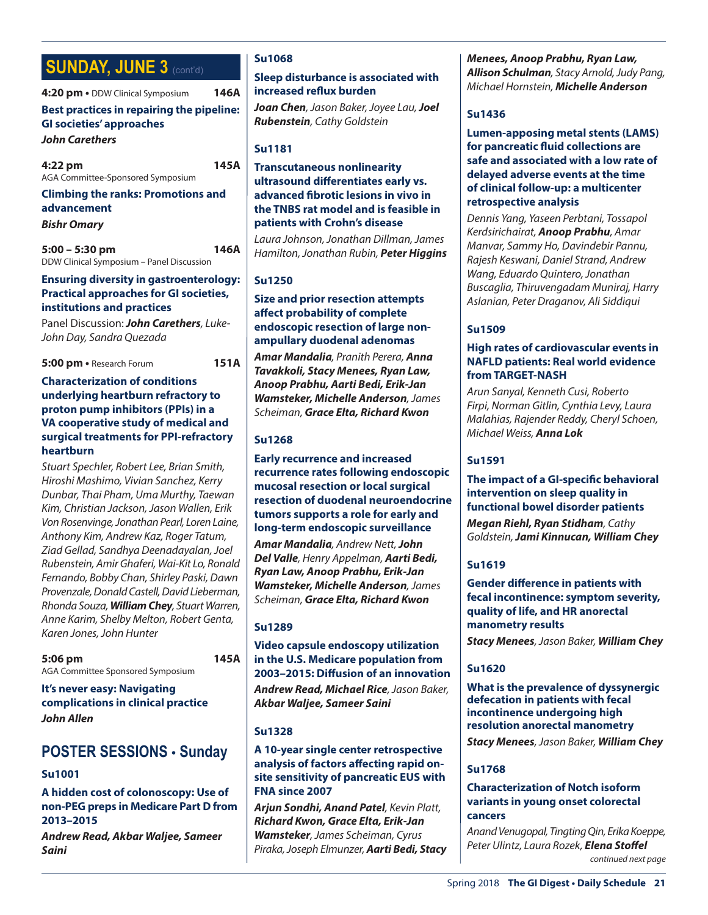# **SUNDAY, JUNE 3 (cont'd)**

**4:20 pm •** DDW Clinical Symposium **146A Best practices in repairing the pipeline: GI societies' approaches** *John Carethers* **4:22 pm 145A** AGA Committee-Sponsored Symposium

**Climbing the ranks: Promotions and advancement**

*Bishr Omary*

**5:00 – 5:30 pm 146A** DDW Clinical Symposium – Panel Discussion

#### **Ensuring diversity in gastroenterology: Practical approaches for GI societies, institutions and practices**

Panel Discussion:*John Carethers, Luke-John Day, Sandra Quezada*

**5:00 pm •** Research Forum **151A**

#### **Characterization of conditions underlying heartburn refractory to proton pump inhibitors (PPIs) in a VA cooperative study of medical and surgical treatments for PPI-refractory heartburn**

*Stuart Spechler, Robert Lee, Brian Smith, Hiroshi Mashimo, Vivian Sanchez, Kerry Dunbar, Thai Pham, Uma Murthy, Taewan Kim, Christian Jackson, Jason Wallen, Erik Von Rosenvinge, Jonathan Pearl, Loren Laine, Anthony Kim, Andrew Kaz, Roger Tatum, Ziad Gellad, Sandhya Deenadayalan, Joel Rubenstein, Amir Ghaferi, Wai-Kit Lo, Ronald Fernando, Bobby Chan, Shirley Paski, Dawn Provenzale, Donald Castell, David Lieberman, Rhonda Souza, William Chey, Stuart Warren, Anne Karim, Shelby Melton, Robert Genta, Karen Jones, John Hunter*

**5:06 pm 145A** AGA Committee Sponsored Symposium

**It's never easy: Navigating complications in clinical practice** *John Allen*

### **POSTER SESSIONS** • **Sunday**

#### **Su1001**

#### **A hidden cost of colonoscopy: Use of non-PEG preps in Medicare Part D from 2013–2015**

*Andrew Read, Akbar Waljee, Sameer Saini*

#### **Su1068**

#### **Sleep disturbance is associated with increased reflux burden**

*Joan Chen, Jason Baker, Joyee Lau, Joel Rubenstein, Cathy Goldstein*

#### **Su1181**

#### **Transcutaneous nonlinearity ultrasound differentiates early vs. advanced fibrotic lesions in vivo in the TNBS rat model and is feasible in patients with Crohn's disease**

*Laura Johnson, Jonathan Dillman, James Hamilton, Jonathan Rubin, Peter Higgins*

#### **Su1250**

#### **Size and prior resection attempts affect probability of complete endoscopic resection of large nonampullary duodenal adenomas**

*Amar Mandalia, Pranith Perera, Anna Tavakkoli, Stacy Menees, Ryan Law, Anoop Prabhu, Aarti Bedi, Erik-Jan Wamsteker, Michelle Anderson, James Scheiman, Grace Elta, Richard Kwon*

#### **Su1268**

**Early recurrence and increased recurrence rates following endoscopic mucosal resection or local surgical resection of duodenal neuroendocrine tumors supports a role for early and long-term endoscopic surveillance** *Amar Mandalia, Andrew Nett, John Del Valle, Henry Appelman, Aarti Bedi, Ryan Law, Anoop Prabhu, Erik-Jan Wamsteker, Michelle Anderson, James Scheiman, Grace Elta, Richard Kwon*

#### **Su1289**

**Video capsule endoscopy utilization in the U.S. Medicare population from 2003–2015: Diffusion of an innovation** *Andrew Read, Michael Rice, Jason Baker, Akbar Waljee, Sameer Saini*

#### **Su1328**

#### **A 10-year single center retrospective analysis of factors affecting rapid onsite sensitivity of pancreatic EUS with FNA since 2007**

*Arjun Sondhi, Anand Patel, Kevin Platt, Richard Kwon, Grace Elta, Erik-Jan Wamsteker, James Scheiman, Cyrus Piraka, Joseph Elmunzer, Aarti Bedi, Stacy*  *Menees, Anoop Prabhu, Ryan Law, Allison Schulman, Stacy Arnold, Judy Pang, Michael Hornstein, Michelle Anderson*

#### **Su1436**

#### **Lumen-apposing metal stents (LAMS) for pancreatic fluid collections are safe and associated with a low rate of delayed adverse events at the time of clinical follow-up: a multicenter retrospective analysis**

*Dennis Yang, Yaseen Perbtani, Tossapol Kerdsirichairat, Anoop Prabhu, Amar Manvar, Sammy Ho, Davindebir Pannu, Rajesh Keswani, Daniel Strand, Andrew Wang, Eduardo Quintero, Jonathan Buscaglia, Thiruvengadam Muniraj, Harry Aslanian, Peter Draganov, Ali Siddiqui*

#### **Su1509**

#### **High rates of cardiovascular events in NAFLD patients: Real world evidence from TARGET-NASH**

*Arun Sanyal, Kenneth Cusi, Roberto Firpi, Norman Gitlin, Cynthia Levy, Laura Malahias, Rajender Reddy, Cheryl Schoen, Michael Weiss, Anna Lok*

### **Su1591**

#### **The impact of a GI-specific behavioral intervention on sleep quality in functional bowel disorder patients** *Megan Riehl, Ryan Stidham, Cathy Goldstein, Jami Kinnucan, William Chey*

### **Su1619**

**Gender difference in patients with fecal incontinence: symptom severity, quality of life, and HR anorectal manometry results**

*Stacy Menees, Jason Baker, William Chey*

#### **Su1620**

**What is the prevalence of dyssynergic defecation in patients with fecal incontinence undergoing high resolution anorectal manometry**

*Stacy Menees, Jason Baker, William Chey*

#### **Su1768**

#### **Characterization of Notch isoform variants in young onset colorectal cancers**

*Anand Venugopal, Tingting Qin, Erika Koeppe, Peter Ulintz, Laura Rozek, Elena Stoffel continued next page*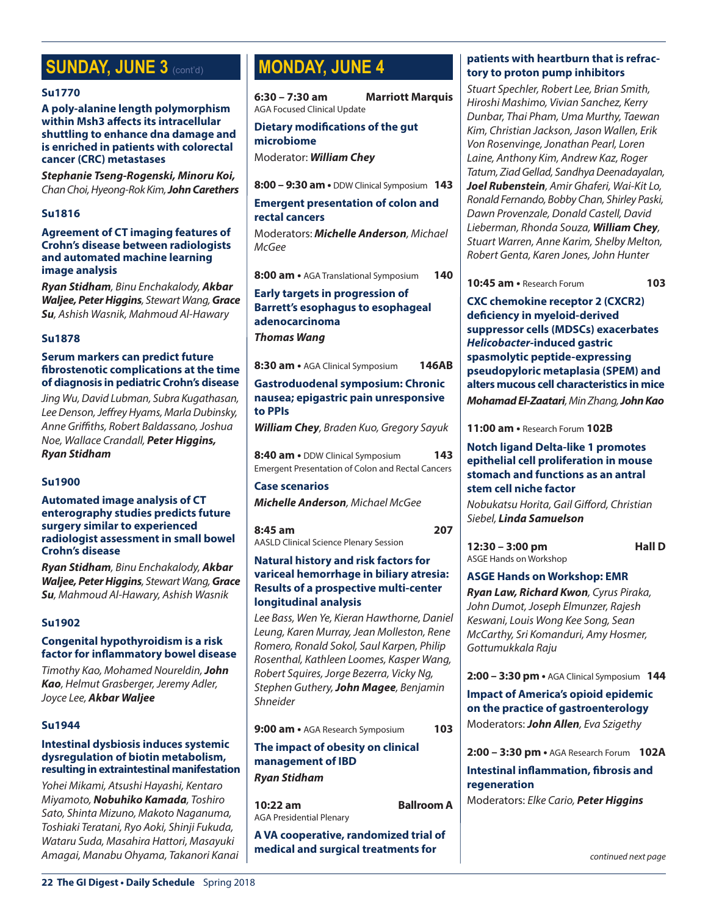# **SUNDAY, JUNE 3 (cont'd)**

#### **Su1770**

**A poly-alanine length polymorphism within Msh3 affects its intracellular shuttling to enhance dna damage and is enriched in patients with colorectal cancer (CRC) metastases**

*Stephanie Tseng-Rogenski, Minoru Koi, Chan Choi, Hyeong-Rok Kim, John Carethers*

#### **Su1816**

#### **Agreement of CT imaging features of Crohn's disease between radiologists and automated machine learning image analysis**

*Ryan Stidham, Binu Enchakalody, Akbar Waljee, Peter Higgins, Stewart Wang, Grace Su, Ashish Wasnik, Mahmoud Al-Hawary*

#### **Su1878**

#### **Serum markers can predict future fibrostenotic complications at the time of diagnosis in pediatric Crohn's disease**

*Jing Wu, David Lubman, Subra Kugathasan, Lee Denson, Jeffrey Hyams, Marla Dubinsky, Anne Griffiths, Robert Baldassano, Joshua Noe, Wallace Crandall, Peter Higgins, Ryan Stidham*

#### **Su1900**

#### **Automated image analysis of CT enterography studies predicts future surgery similar to experienced radiologist assessment in small bowel Crohn's disease**

*Ryan Stidham, Binu Enchakalody, Akbar Waljee, Peter Higgins, Stewart Wang, Grace Su, Mahmoud Al-Hawary, Ashish Wasnik*

#### **Su1902**

#### **Congenital hypothyroidism is a risk factor for inflammatory bowel disease**

*Timothy Kao, Mohamed Noureldin, John Kao, Helmut Grasberger, Jeremy Adler, Joyce Lee, Akbar Waljee*

#### **Su1944**

#### **Intestinal dysbiosis induces systemic dysregulation of biotin metabolism, resulting in extraintestinal manifestation**

*Yohei Mikami, Atsushi Hayashi, Kentaro Miyamoto, Nobuhiko Kamada, Toshiro Sato, Shinta Mizuno, Makoto Naganuma, Toshiaki Teratani, Ryo Aoki, Shinji Fukuda, Wataru Suda, Masahira Hattori, Masayuki Amagai, Manabu Ohyama, Takanori Kanai*

# **MONDAY, JUNE 4**

**6:30 – 7:30 am Marriott Marquis** AGA Focused Clinical Update

#### **Dietary modifications of the gut microbiome**

Moderator: *William Chey*

**8:00 – 9:30 am •** DDW Clinical Symposium **143**

#### **Emergent presentation of colon and rectal cancers**

Moderators: *Michelle Anderson, Michael McGee*

**8:00 am •** AGA Translational Symposium **140**

#### **Early targets in progression of Barrett's esophagus to esophageal adenocarcinoma** *Thomas Wang*

**8:30 am •** AGA Clinical Symposium **146AB**

**Gastroduodenal symposium: Chronic nausea; epigastric pain unresponsive to PPIs**

*William Chey, Braden Kuo, Gregory Sayuk*

**8:40 am •** DDW Clinical Symposium **143** Emergent Presentation of Colon and Rectal Cancers

#### **Case scenarios**

*Michelle Anderson, Michael McGee*

**8:45 am 207** AASLD Clinical Science Plenary Session

#### **Natural history and risk factors for variceal hemorrhage in biliary atresia: Results of a prospective multi-center longitudinal analysis**

*Lee Bass, Wen Ye, Kieran Hawthorne, Daniel Leung, Karen Murray, Jean Molleston, Rene Romero, Ronald Sokol, Saul Karpen, Philip Rosenthal, Kathleen Loomes, Kasper Wang, Robert Squires, Jorge Bezerra, Vicky Ng, Stephen Guthery, John Magee, Benjamin Shneider*

**9:00 am •** AGA Research Symposium **103**

**The impact of obesity on clinical management of IBD**

*Ryan Stidham*

**10:22 am Ballroom A** AGA Presidential Plenary

**A VA cooperative, randomized trial of medical and surgical treatments for** 

#### **patients with heartburn that is refractory to proton pump inhibitors**

*Stuart Spechler, Robert Lee, Brian Smith, Hiroshi Mashimo, Vivian Sanchez, Kerry Dunbar, Thai Pham, Uma Murthy, Taewan Kim, Christian Jackson, Jason Wallen, Erik Von Rosenvinge, Jonathan Pearl, Loren Laine, Anthony Kim, Andrew Kaz, Roger Tatum, Ziad Gellad, Sandhya Deenadayalan, Joel Rubenstein, Amir Ghaferi, Wai-Kit Lo, Ronald Fernando, Bobby Chan, Shirley Paski, Dawn Provenzale, Donald Castell, David Lieberman, Rhonda Souza, William Chey, Stuart Warren, Anne Karim, Shelby Melton, Robert Genta, Karen Jones, John Hunter*

**10:45 am •** Research Forum **103**

**CXC chemokine receptor 2 (CXCR2) deficiency in myeloid-derived suppressor cells (MDSCs) exacerbates**  *Helicobacter***-induced gastric spasmolytic peptide-expressing pseudopyloric metaplasia (SPEM) and alters mucous cell characteristics in mice** *Mohamad El-Zaatari, Min Zhang, John Kao*

**11:00 am •** Research Forum **102B**

#### **Notch ligand Delta-like 1 promotes epithelial cell proliferation in mouse stomach and functions as an antral stem cell niche factor**

*Nobukatsu Horita, Gail Gifford, Christian Siebel, Linda Samuelson*

**12:30 – 3:00 pm Hall D** ASGE Hands on Workshop

#### **ASGE Hands on Workshop: EMR**

*Ryan Law, Richard Kwon, Cyrus Piraka, John Dumot, Joseph Elmunzer, Rajesh Keswani, Louis Wong Kee Song, Sean McCarthy, Sri Komanduri, Amy Hosmer, Gottumukkala Raju*

**2:00 – 3:30 pm •** AGA Clinical Symposium **144**

**Impact of America's opioid epidemic on the practice of gastroenterology** Moderators: *John Allen, Eva Szigethy*

**2:00 – 3:30 pm •** AGA Research Forum **102A**

### **Intestinal inflammation, fibrosis and regeneration**

Moderators: *Elke Cario, Peter Higgins*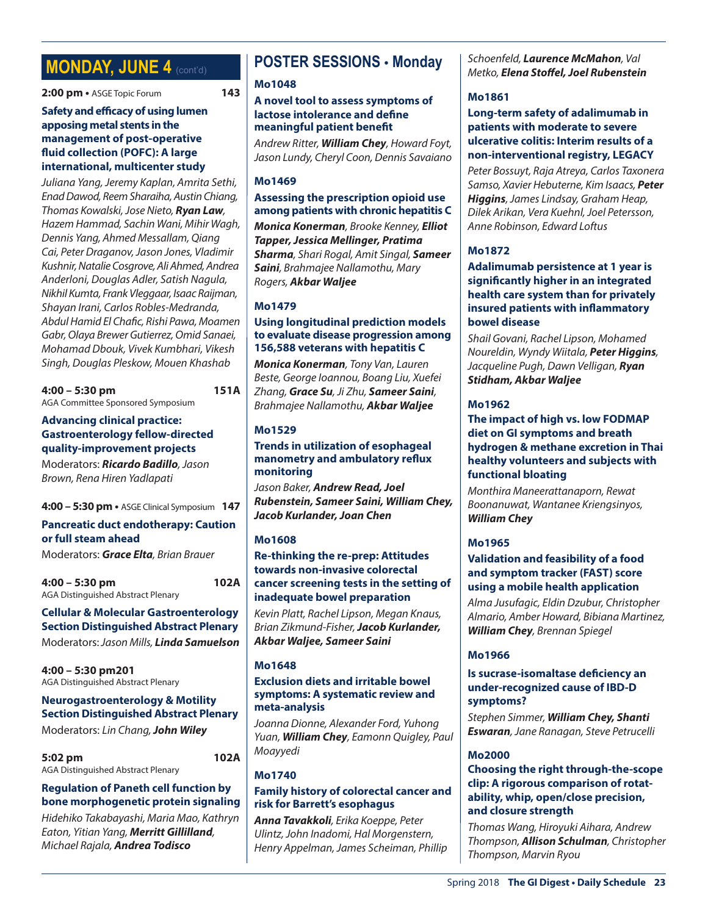# **MONDAY, JUNE 4 (cont'd)**

**2:00 pm •** ASGE Topic Forum **143**

#### **Safety and efficacy of using lumen apposing metal stents in the management of post-operative fluid collection (POFC): A large international, multicenter study**

*Juliana Yang, Jeremy Kaplan, Amrita Sethi, Enad Dawod, Reem Sharaiha, Austin Chiang, Thomas Kowalski, Jose Nieto, Ryan Law, Hazem Hammad, Sachin Wani, Mihir Wagh, Dennis Yang, Ahmed Messallam, Qiang Cai, Peter Draganov, Jason Jones, Vladimir Kushnir, Natalie Cosgrove, Ali Ahmed, Andrea Anderloni, Douglas Adler, Satish Nagula, Nikhil Kumta, Frank Vleggaar, Isaac Raijman, Shayan Irani, Carlos Robles-Medranda, Abdul Hamid El Chafic, Rishi Pawa, Moamen Gabr, Olaya Brewer Gutierrez, Omid Sanaei, Mohamad Dbouk, Vivek Kumbhari, Vikesh Singh, Douglas Pleskow, Mouen Khashab*

**4:00 – 5:30 pm 151A** AGA Committee Sponsored Symposium

#### **Advancing clinical practice: Gastroenterology fellow-directed quality-improvement projects**

Moderators: *Ricardo Badillo, Jason Brown, Rena Hiren Yadlapati*

### **4:00 – 5:30 pm •** ASGE Clinical Symposium **147**

#### **Pancreatic duct endotherapy: Caution or full steam ahead**

Moderators: *Grace Elta, Brian Brauer*

**4:00 – 5:30 pm 102A** AGA Distinguished Abstract Plenary

### **Cellular & Molecular Gastroenterology Section Distinguished Abstract Plenary**

Moderators: *Jason Mills, Linda Samuelson*

**4:00 – 5:30 pm201** AGA Distinguished Abstract Plenary

#### **Neurogastroenterology & Motility Section Distinguished Abstract Plenary** Moderators: *Lin Chang, John Wiley*

**5:02 pm 102A** AGA Distinguished Abstract Plenary

#### **Regulation of Paneth cell function by bone morphogenetic protein signaling**

*Hidehiko Takabayashi, Maria Mao, Kathryn Eaton, Yitian Yang, Merritt Gillilland, Michael Rajala, Andrea Todisco*

# **POSTER SESSIONS** • **Monday**

#### **Mo1048**

#### **A novel tool to assess symptoms of lactose intolerance and define meaningful patient benefit**

*Andrew Ritter, William Chey, Howard Foyt, Jason Lundy, Cheryl Coon, Dennis Savaiano*

#### **Mo1469**

#### **Assessing the prescription opioid use among patients with chronic hepatitis C**

*Monica Konerman, Brooke Kenney, Elliot Tapper, Jessica Mellinger, Pratima Sharma, Shari Rogal, Amit Singal, Sameer Saini, Brahmajee Nallamothu, Mary Rogers, Akbar Waljee*

#### **Mo1479**

#### **Using longitudinal prediction models to evaluate disease progression among 156,588 veterans with hepatitis C**

*Monica Konerman, Tony Van, Lauren Beste, George Ioannou, Boang Liu, Xuefei Zhang, Grace Su, Ji Zhu, Sameer Saini, Brahmajee Nallamothu, Akbar Waljee*

#### **Mo1529**

#### **Trends in utilization of esophageal manometry and ambulatory reflux monitoring**

*Jason Baker, Andrew Read, Joel Rubenstein, Sameer Saini, William Chey, Jacob Kurlander, Joan Chen*

#### **Mo1608**

#### **Re-thinking the re-prep: Attitudes towards non-invasive colorectal cancer screening tests in the setting of inadequate bowel preparation**

*Kevin Platt, Rachel Lipson, Megan Knaus, Brian Zikmund-Fisher, Jacob Kurlander, Akbar Waljee, Sameer Saini*

#### **Mo1648**

#### **Exclusion diets and irritable bowel symptoms: A systematic review and meta-analysis**

*Joanna Dionne, Alexander Ford, Yuhong Yuan, William Chey, Eamonn Quigley, Paul Moayyedi*

#### **Mo1740**

#### **Family history of colorectal cancer and risk for Barrett's esophagus**

*Anna Tavakkoli, Erika Koeppe, Peter Ulintz, John Inadomi, Hal Morgenstern, Henry Appelman, James Scheiman, Phillip* 

*Schoenfeld, Laurence McMahon, Val Metko, Elena Stoffel, Joel Rubenstein*

#### **Mo1861**

#### **Long-term safety of adalimumab in patients with moderate to severe ulcerative colitis: Interim results of a non-interventional registry, LEGACY**

*Peter Bossuyt, Raja Atreya, Carlos Taxonera Samso, Xavier Hebuterne, Kim Isaacs, Peter Higgins, James Lindsay, Graham Heap, Dilek Arikan, Vera Kuehnl, Joel Petersson, Anne Robinson, Edward Loftus*

### **Mo1872**

#### **Adalimumab persistence at 1 year is significantly higher in an integrated health care system than for privately insured patients with inflammatory bowel disease**

*Shail Govani, Rachel Lipson, Mohamed Noureldin, Wyndy Wiitala, Peter Higgins, Jacqueline Pugh, Dawn Velligan, Ryan Stidham, Akbar Waljee*

#### **Mo1962**

#### **The impact of high vs. low FODMAP diet on GI symptoms and breath hydrogen & methane excretion in Thai healthy volunteers and subjects with functional bloating**

*Monthira Maneerattanaporn, Rewat Boonanuwat, Wantanee Kriengsinyos, William Chey*

#### **Mo1965**

#### **Validation and feasibility of a food and symptom tracker (FAST) score using a mobile health application**

*Alma Jusufagic, Eldin Dzubur, Christopher Almario, Amber Howard, Bibiana Martinez, William Chey, Brennan Spiegel*

#### **Mo1966**

#### **Is sucrase-isomaltase deficiency an under-recognized cause of IBD-D symptoms?**

*Stephen Simmer, William Chey, Shanti Eswaran, Jane Ranagan, Steve Petrucelli*

#### **Mo2000**

#### **Choosing the right through-the-scope clip: A rigorous comparison of rotatability, whip, open/close precision, and closure strength**

*Thomas Wang, Hiroyuki Aihara, Andrew Thompson, Allison Schulman, Christopher Thompson, Marvin Ryou*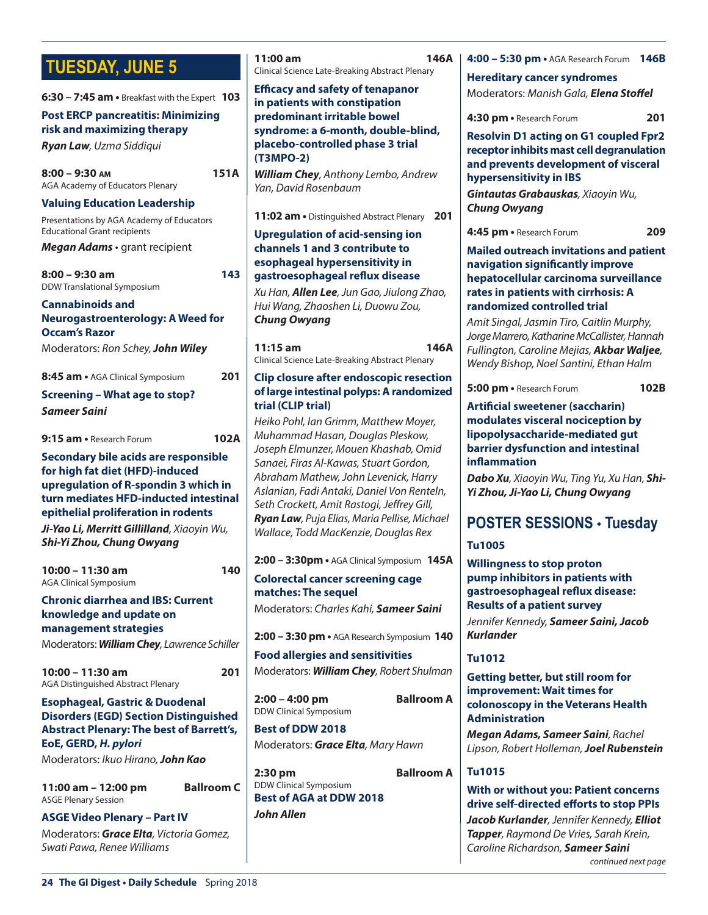# **TUESDAY, JUNE 5**

| <b>IULSUAT, JUNE 3</b>                                                                    | Clinical Science Late-Breaking Abstract Plenary                                                                                                                                                         |  |
|-------------------------------------------------------------------------------------------|---------------------------------------------------------------------------------------------------------------------------------------------------------------------------------------------------------|--|
| $6:30 - 7:45$ am $\cdot$ Breakfast with the Expert 103                                    | <b>Efficacy and safety of tenapanor</b><br>in patients with constipation                                                                                                                                |  |
| <b>Post ERCP pancreatitis: Minimizing</b>                                                 | predominant irritable bowel                                                                                                                                                                             |  |
| risk and maximizing therapy                                                               | syndrome: a 6-month, double-blind,                                                                                                                                                                      |  |
| Ryan Law, Uzma Siddiqui                                                                   | placebo-controlled phase 3 trial<br>(T3MPO-2)                                                                                                                                                           |  |
| <b>151A</b><br>$8:00 - 9:30$ AM<br>AGA Academy of Educators Plenary                       | <b>William Chey</b> , Anthony Lembo, Andrew<br>Yan, David Rosenbaum                                                                                                                                     |  |
| <b>Valuing Education Leadership</b>                                                       |                                                                                                                                                                                                         |  |
| Presentations by AGA Academy of Educators                                                 | <b>11:02 am •</b> Distinguished Abstract Plenary<br>$\mathbf{z}$                                                                                                                                        |  |
| <b>Educational Grant recipients</b><br>Megan Adams · grant recipient                      | <b>Upregulation of acid-sensing ion</b><br>channels 1 and 3 contribute to                                                                                                                               |  |
|                                                                                           | esophageal hypersensitivity in                                                                                                                                                                          |  |
| 143<br>$8:00 - 9:30$ am<br>DDW Translational Symposium                                    | gastroesophageal reflux disease                                                                                                                                                                         |  |
|                                                                                           | Xu Han, Allen Lee, Jun Gao, Jiulong Zhac                                                                                                                                                                |  |
| <b>Cannabinoids and</b>                                                                   | Hui Wang, Zhaoshen Li, Duowu Zou,                                                                                                                                                                       |  |
| <b>Neurogastroenterology: A Weed for</b><br><b>Occam's Razor</b>                          | <b>Chung Owyang</b>                                                                                                                                                                                     |  |
| Moderators: Ron Schey, John Wiley                                                         | 146<br>$11:15$ am<br>Clinical Science Late-Breaking Abstract Plenary                                                                                                                                    |  |
| 201<br>8:45 am • AGA Clinical Symposium                                                   | Clip closure after endoscopic resection                                                                                                                                                                 |  |
| <b>Screening - What age to stop?</b>                                                      | of large intestinal polyps: A randomize                                                                                                                                                                 |  |
| <b>Sameer Saini</b>                                                                       | trial (CLIP trial)                                                                                                                                                                                      |  |
|                                                                                           | Heiko Pohl, Ian Grimm, Matthew Moyer,                                                                                                                                                                   |  |
| 102A<br>9:15 am • Research Forum                                                          | Muhammad Hasan, Douglas Pleskow,<br>Joseph Elmunzer, Mouen Khashab, Omid<br>Sanaei, Firas Al-Kawas, Stuart Gordon,<br>Abraham Mathew, John Levenick, Harry<br>Aslanian, Fadi Antaki, Daniel Von Rentelr |  |
| Secondary bile acids are responsible                                                      |                                                                                                                                                                                                         |  |
| for high fat diet (HFD)-induced                                                           |                                                                                                                                                                                                         |  |
| upregulation of R-spondin 3 which in                                                      |                                                                                                                                                                                                         |  |
| turn mediates HFD-inducted intestinal                                                     | Seth Crockett, Amit Rastogi, Jeffrey Gill,                                                                                                                                                              |  |
| epithelial proliferation in rodents                                                       | Ryan Law, Puja Elias, Maria Pellise, Micha                                                                                                                                                              |  |
| Ji-Yao Li, Merritt Gillilland, Xiaoyin Wu,<br>Shi-Yi Zhou, Chung Owyang                   | Wallace, Todd MacKenzie, Douglas Rex                                                                                                                                                                    |  |
|                                                                                           | 2:00 - 3:30pm · AGA Clinical Symposium 14!                                                                                                                                                              |  |
| 10:00 - 11:30 am<br>140<br><b>AGA Clinical Symposium</b>                                  | <b>Colorectal cancer screening cage</b>                                                                                                                                                                 |  |
|                                                                                           | matches: The sequel                                                                                                                                                                                     |  |
| <b>Chronic diarrhea and IBS: Current</b><br>knowledge and update on                       | Moderators: Charles Kahi, Sameer Saini                                                                                                                                                                  |  |
| management strategies<br>Moderators: William Chey, Lawrence Schiller                      | 2:00 – 3:30 pm • AGA Research Symposium $1$                                                                                                                                                             |  |
|                                                                                           | <b>Food allergies and sensitivities</b>                                                                                                                                                                 |  |
| 10:00 - 11:30 am<br>201<br>AGA Distinguished Abstract Plenary                             | Moderators: William Chey, Robert Shulme                                                                                                                                                                 |  |
| <b>Esophageal, Gastric &amp; Duodenal</b><br><b>Disorders (EGD) Section Distinguished</b> | <b>Ballroom</b><br>$2:00 - 4:00$ pm<br><b>DDW Clinical Symposium</b>                                                                                                                                    |  |
| <b>Abstract Plenary: The best of Barrett's,</b>                                           | <b>Best of DDW 2018</b>                                                                                                                                                                                 |  |
| EoE, GERD, H. pylori                                                                      | Moderators: <b>Grace Elta</b> , Mary Hawn                                                                                                                                                               |  |
| Moderators: Ikuo Hirano, John Kao                                                         |                                                                                                                                                                                                         |  |
|                                                                                           | $2:30$ pm<br><b>Ballroom</b>                                                                                                                                                                            |  |
| <b>Ballroom C</b><br>11:00 am - 12:00 pm                                                  | DDW Clinical Symposium<br><b>Best of AGA at DDW 2018</b>                                                                                                                                                |  |
| <b>ASGE Plenary Session</b>                                                               |                                                                                                                                                                                                         |  |
| <b>ASGE Video Plenary - Part IV</b>                                                       | John Allen                                                                                                                                                                                              |  |
| Moderators: Grace Elta, Victoria Gomez,<br>Swati Pawa, Renee Williams                     |                                                                                                                                                                                                         |  |

| Yan, David Rosenbaum                                                                                                                                                                                                                                                                                                                                                                                                                                                                                                                                                                              | <b>Gintautas G</b>                                                                                                                                                                                                                                    |
|---------------------------------------------------------------------------------------------------------------------------------------------------------------------------------------------------------------------------------------------------------------------------------------------------------------------------------------------------------------------------------------------------------------------------------------------------------------------------------------------------------------------------------------------------------------------------------------------------|-------------------------------------------------------------------------------------------------------------------------------------------------------------------------------------------------------------------------------------------------------|
| 201<br>11:02 am • Distinguished Abstract Plenary                                                                                                                                                                                                                                                                                                                                                                                                                                                                                                                                                  | Chung Owy                                                                                                                                                                                                                                             |
| <b>Upregulation of acid-sensing ion</b><br>channels 1 and 3 contribute to<br>esophageal hypersensitivity in<br>gastroesophageal reflux disease<br>Xu Han, <b>Allen Lee</b> , Jun Gao, Jiulong Zhao,<br>Hui Wang, Zhaoshen Li, Duowu Zou,<br><b>Chung Owyang</b><br>146A<br>11:15 am<br>Clinical Science Late-Breaking Abstract Plenary<br>Clip closure after endoscopic resection<br>of large intestinal polyps: A randomized<br>trial (CLIP trial)                                                                                                                                               | 4:45 pm · Re<br><b>Mailed outr</b><br>navigation<br>hepatocellu<br>rates in pati<br>randomized<br>Amit Singal,<br>Jorge Marrero<br>Fullington, C<br><b>Wendy Bisho</b><br>5:00 pm • Re<br><b>Artificial sw</b>                                        |
| Heiko Pohl, Ian Grimm, Matthew Moyer,<br>Muhammad Hasan, Douglas Pleskow,<br>Joseph Elmunzer, Mouen Khashab, Omid<br>Sanaei, Firas Al-Kawas, Stuart Gordon,<br>Abraham Mathew, John Levenick, Harry<br>Aslanian, Fadi Antaki, Daniel Von Renteln,<br>Seth Crockett, Amit Rastogi, Jeffrey Gill,<br>Ryan Law, Puja Elias, Maria Pellise, Michael<br>Wallace, Todd MacKenzie, Douglas Rex<br>2:00 - 3:30pm · AGA Clinical Symposium 145A<br><b>Colorectal cancer screening cage</b><br>matches: The sequel<br>Moderators: Charles Kahi, Sameer Saini<br>2:00 - 3:30 pm • AGA Research Symposium 140 | modulates <sup>1</sup><br>lipopolysac<br>barrier dysf<br>inflammatio<br>Dabo Xu, Xio<br>Yi Zhou, Ji-Y<br><b>POSTER</b><br><b>Tu1005</b><br><b>Willingness</b><br>pump inhib<br>gastroesop<br><b>Results of a</b><br>Jennifer Kenr<br><b>Kurlander</b> |
| <b>Food allergies and sensitivities</b>                                                                                                                                                                                                                                                                                                                                                                                                                                                                                                                                                           | <b>Tu1012</b>                                                                                                                                                                                                                                         |
| Moderators: William Chey, Robert Shulman<br>2:00 - 4:00 pm<br><b>Ballroom A</b><br>DDW Clinical Symposium<br><b>Best of DDW 2018</b><br>Moderators: <b>Grace Elta</b> , Mary Hawn                                                                                                                                                                                                                                                                                                                                                                                                                 | <b>Getting bet</b><br>improveme<br>colonoscop<br><b>Administrat</b><br>Megan Adal<br>Lipson, Robe                                                                                                                                                     |
| <b>Ballroom A</b><br>2:30 pm<br><b>DDW Clinical Symposium</b><br><b>Best of AGA at DDW 2018</b><br>John Allen                                                                                                                                                                                                                                                                                                                                                                                                                                                                                     | <b>Tu1015</b><br><b>With or witl</b><br>drive self-d<br>Jacob Kurla<br>Tapper, Rayı<br>Caroline Rich                                                                                                                                                  |
| ś                                                                                                                                                                                                                                                                                                                                                                                                                                                                                                                                                                                                 |                                                                                                                                                                                                                                                       |

**11:00 am 146A**

**4:00 – 5:30 pm •** AGA Research Forum **146B**

**Hereditary cancer syndromes** Moderators: *Manish Gala, Elena Stoffel*

**4:30 pm •** Research Forum **201**

**Resolvin D1 acting on G1 coupled Fpr2 receptor inhibits mast cell degranulation and prevents development of visceral hypersensitivity in IBS** *Gintautas Grabauskas, Xiaoyin Wu, Chung Owyang*

**4:45 pm •** Research Forum **209**

#### **Mando invitations and patient navigation significantly improve hepatocellular carcinoma surveillance**  *<u>ients with cirrhosis: A</u>* **randomized controlled trial**

*Amit Singal, Jasmin Tiro, Caitlin Murphy, Jorge Marrero, Katharine McCallister, Hannah Fullington, Caroline Mejias, Akbar Waljee, Wendy Bishop, Noel Santini, Ethan Halm*

**5:00 pm •** Research Forum **102B**

#### **Artificial sweetener (saccharin) wisceral nociception by lipopolysaccharide-mediated gut function and intestinal in**

*Dabo Xu, Xiaoyin Wu, Ting Yu, Xu Han, Shi-Yi Zhou, Ji-Yao Li, Chung Owyang*

### **POSTER SESSIONS** • **Tuesday**

to stop proton **pitors in patients with gastroesophageal reflux disease: patient survey** 

*Jennifer Kennedy, Sameer Saini, Jacob* 

#### **Getting better, but still room for int: Wait times for colonoscopy in the Veterans Health Rion**

*Megan Adams, Sameer Saini, Rachel Lipson, Robert Holleman, Joel Rubenstein*

#### **hout you: Patient concerns drive self-directed efforts to stop PPIs**

*Jacob Kurlander, Jennifer Kennedy, Elliot Tapper, Raymond De Vries, Sarah Krein, Caroline Richardson, Sameer Saini*